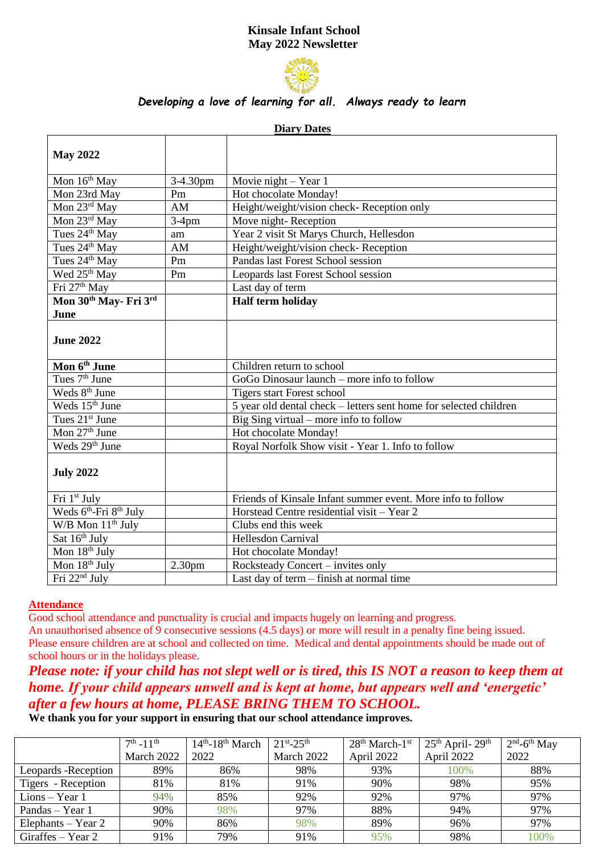# **Kinsale Infant School May 2022 Newsletter**



## *Developing a love of learning for all. Always ready to learn*

| <b>Diary Dates</b>                             |                    |                                                                   |  |  |  |  |  |
|------------------------------------------------|--------------------|-------------------------------------------------------------------|--|--|--|--|--|
| <b>May 2022</b>                                |                    |                                                                   |  |  |  |  |  |
| Mon 16 <sup>th</sup> May                       | 3-4.30pm           | Movie night $-$ Year 1                                            |  |  |  |  |  |
| Mon 23rd May                                   | Pm                 | Hot chocolate Monday!                                             |  |  |  |  |  |
| Mon 23rd May                                   | AM                 | Height/weight/vision check-Reception only                         |  |  |  |  |  |
| Mon 23rd May                                   | $3-4$ pm           | Move night-Reception                                              |  |  |  |  |  |
| Tues 24 <sup>th</sup> May                      | am                 | Year 2 visit St Marys Church, Hellesdon                           |  |  |  |  |  |
| Tues 24 <sup>th</sup> May                      | AM                 | Height/weight/vision check-Reception                              |  |  |  |  |  |
| Tues 24 <sup>th</sup> May                      | Pm                 | Pandas last Forest School session                                 |  |  |  |  |  |
| Wed 25 <sup>th</sup> May                       | Pm                 | Leopards last Forest School session                               |  |  |  |  |  |
| Fri 27 <sup>th</sup> May                       |                    | Last day of term                                                  |  |  |  |  |  |
| Mon 30 <sup>th</sup> May- Fri 3rd              |                    | Half term holiday                                                 |  |  |  |  |  |
| June                                           |                    |                                                                   |  |  |  |  |  |
| <b>June 2022</b>                               |                    |                                                                   |  |  |  |  |  |
| Mon 6 <sup>th</sup> June                       |                    | Children return to school                                         |  |  |  |  |  |
| Tues $7th$ June                                |                    | $GoGo$ Dinosaur launch – more info to follow                      |  |  |  |  |  |
| Weds 8 <sup>th</sup> June                      |                    | <b>Tigers start Forest school</b>                                 |  |  |  |  |  |
| Weds 15 <sup>th</sup> June                     |                    | 5 year old dental check – letters sent home for selected children |  |  |  |  |  |
| Tues 21 <sup>st</sup> June                     |                    | Big Sing virtual – more info to follow                            |  |  |  |  |  |
| Mon $27th$ June                                |                    | Hot chocolate Monday!                                             |  |  |  |  |  |
| Weds 29 <sup>th</sup> June                     |                    | Royal Norfolk Show visit - Year 1. Info to follow                 |  |  |  |  |  |
| <b>July 2022</b>                               |                    |                                                                   |  |  |  |  |  |
| Fri 1st July                                   |                    | Friends of Kinsale Infant summer event. More info to follow       |  |  |  |  |  |
| Weds 6 <sup>th</sup> -Fri 8 <sup>th</sup> July |                    | Horstead Centre residential visit - Year 2                        |  |  |  |  |  |
| $W/B$ Mon $11th$ July                          |                    | Clubs end this week                                               |  |  |  |  |  |
| Sat $16th$ July                                |                    | <b>Hellesdon Carnival</b>                                         |  |  |  |  |  |
| Mon 18 <sup>th</sup> July                      |                    | Hot chocolate Monday!                                             |  |  |  |  |  |
| Mon 18 <sup>th</sup> July                      | 2.30 <sub>pm</sub> | Rocksteady Concert – invites only                                 |  |  |  |  |  |
| Fri $22nd$ July                                |                    | Last day of term – finish at normal time                          |  |  |  |  |  |

#### **Attendance**

Good school attendance and punctuality is crucial and impacts hugely on learning and progress.

An unauthorised absence of 9 consecutive sessions (4.5 days) or more will result in a penalty fine being issued. Please ensure children are at school and collected on time. Medical and dental appointments should be made out of school hours or in the holidays please.

# *Please note: if your child has not slept well or is tired, this IS NOT a reason to keep them at home. If your child appears unwell and is kept at home, but appears well and 'energetic' after a few hours at home, PLEASE BRING THEM TO SCHOOL.*

**We thank you for your support in ensuring that our school attendance improves.**

|                      | $7^{th}$ -11 <sup>th</sup> | $14th - 18th$ March | $21^{st} - 25^{th}$ | $28th March-1st$ | $25th$ April- $29th$ | $2nd$ -6 <sup>th</sup> May |
|----------------------|----------------------------|---------------------|---------------------|------------------|----------------------|----------------------------|
|                      | March 2022                 | 2022                | March 2022          | April 2022       | April 2022           | 2022                       |
| Leopards - Reception | 89%                        | 86%                 | 98%                 | 93%              | 100%                 | 88%                        |
| Tigers - Reception   | 81%                        | 81%                 | 91%                 | 90%              | 98%                  | 95%                        |
| $Lions - Year 1$     | 94%                        | 85%                 | 92%                 | 92%              | 97%                  | 97%                        |
| Pandas – Year 1      | 90%                        | 98%                 | 97%                 | 88%              | 94%                  | 97%                        |
| Elephants $-$ Year 2 | 90%                        | 86%                 | 98%                 | 89%              | 96%                  | 97%                        |
| Giraffes – Year 2    | 91%                        | 79%                 | 91%                 | 95%              | 98%                  | 100%                       |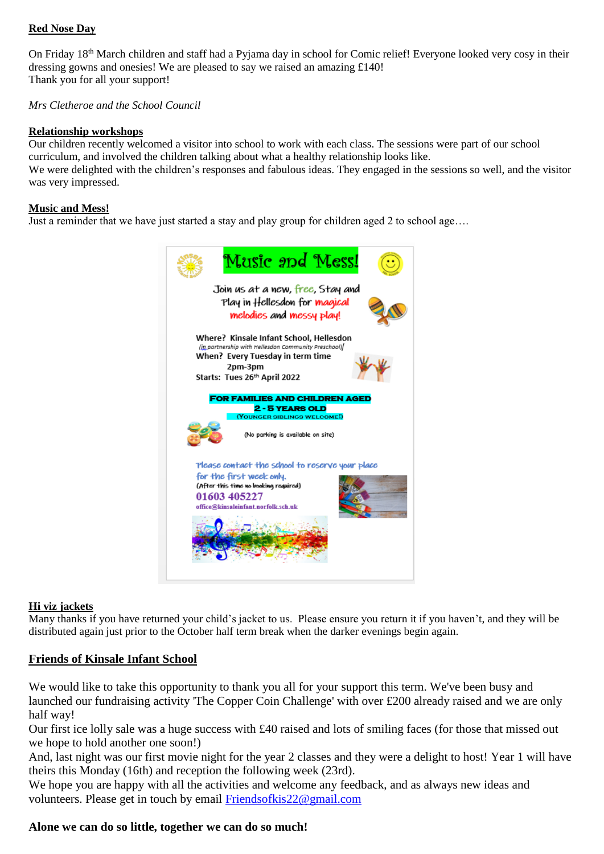## **Red Nose Day**

On Friday 18<sup>th</sup> March children and staff had a Pyjama day in school for Comic relief! Everyone looked very cosy in their dressing gowns and onesies! We are pleased to say we raised an amazing £140! Thank you for all your support!

#### *Mrs Cletheroe and the School Council*

#### **Relationship workshops**

Our children recently welcomed a visitor into school to work with each class. The sessions were part of our school curriculum, and involved the children talking about what a healthy relationship looks like. We were delighted with the children's responses and fabulous ideas. They engaged in the sessions so well, and the visitor was very impressed.

#### **Music and Mess!**

Just a reminder that we have just started a stay and play group for children aged 2 to school age….



#### **Hi viz jackets**

Many thanks if you have returned your child's jacket to us. Please ensure you return it if you haven't, and they will be distributed again just prior to the October half term break when the darker evenings begin again.

## **Friends of Kinsale Infant School**

We would like to take this opportunity to thank you all for your support this term. We've been busy and launched our fundraising activity 'The Copper Coin Challenge' with over £200 already raised and we are only half way!

Our first ice lolly sale was a huge success with £40 raised and lots of smiling faces (for those that missed out we hope to hold another one soon!)

And, last night was our first movie night for the year 2 classes and they were a delight to host! Year 1 will have theirs this Monday (16th) and reception the following week (23rd).

We hope you are happy with all the activities and welcome any feedback, and as always new ideas and volunteers. Please get in touch by email [Friendsofkis22@gmail.com](mailto:Friendsofkis22@gmail.com)

## **Alone we can do so little, together we can do so much!**